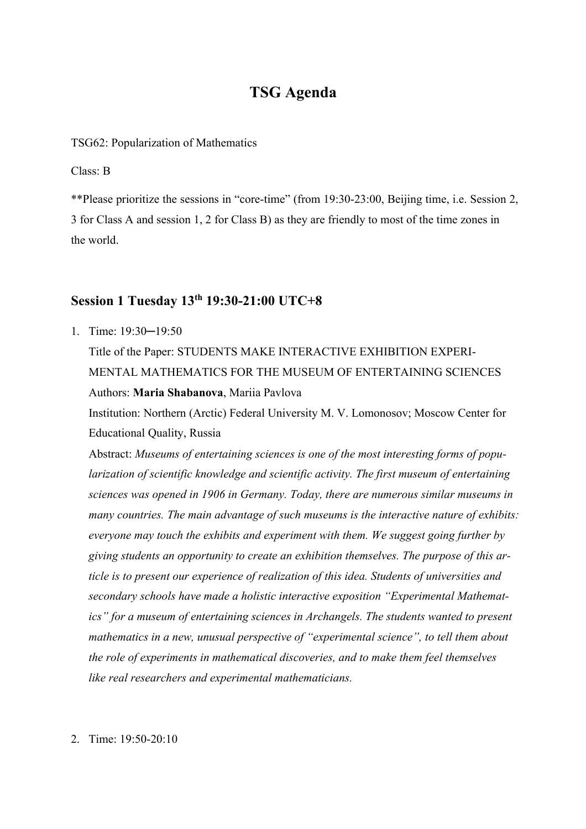# **TSG Agenda**

#### TSG62: Popularization of Mathematics

Class: B

\*\*Please prioritize the sessions in "core-time" (from 19:30-23:00, Beijing time, i.e. Session 2, 3 for Class A and session 1, 2 for Class B) as they are friendly to most of the time zones in the world.

## **Session 1 Tuesday 13th 19:30-21:00 UTC+8**

1. Time: 19:30─19:50

Title of the Paper: STUDENTS MAKE INTERACTIVE EXHIBITION EXPERI-MENTAL MATHEMATICS FOR THE MUSEUM OF ENTERTAINING SCIENCES Authors: **Maria Shabanova**, Mariia Pavlova

Institution: Northern (Arctic) Federal University M. V. Lomonosov; Moscow Center for Educational Quality, Russia

Abstract: *Museums of entertaining sciences is one of the most interesting forms of popularization of scientific knowledge and scientific activity. The first museum of entertaining sciences was opened in 1906 in Germany. Today, there are numerous similar museums in many countries. The main advantage of such museums is the interactive nature of exhibits: everyone may touch the exhibits and experiment with them. We suggest going further by giving students an opportunity to create an exhibition themselves. The purpose of this article is to present our experience of realization of this idea. Students of universities and secondary schools have made a holistic interactive exposition "Experimental Mathematics" for a museum of entertaining sciences in Archangels. The students wanted to present mathematics in a new, unusual perspective of "experimental science", to tell them about the role of experiments in mathematical discoveries, and to make them feel themselves like real researchers and experimental mathematicians.*

2. Time: 19:50-20:10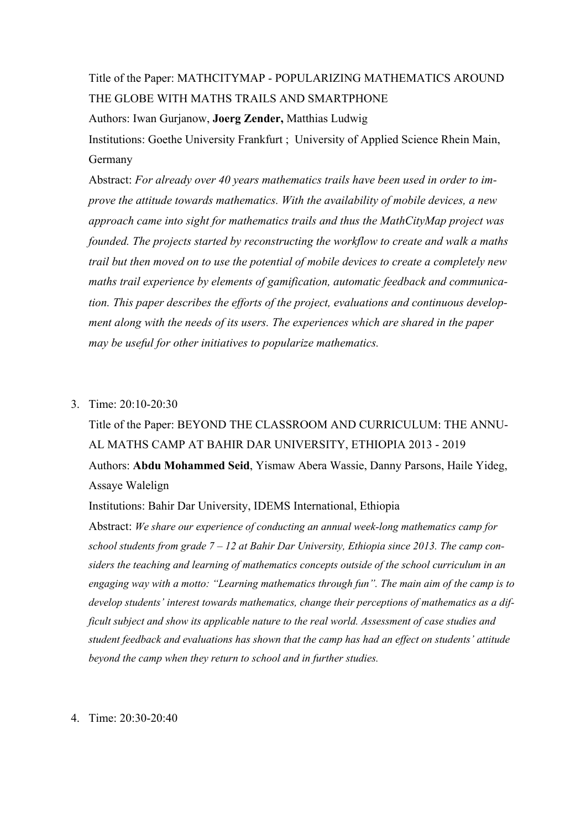## Title of the Paper: MATHCITYMAP - POPULARIZING MATHEMATICS AROUND THE GLOBE WITH MATHS TRAILS AND SMARTPHONE

Authors: Iwan Gurjanow, **Joerg Zender,** Matthias Ludwig

Institutions: Goethe University Frankfurt ; University of Applied Science Rhein Main, Germany

Abstract: *For already over 40 years mathematics trails have been used in order to improve the attitude towards mathematics. With the availability of mobile devices, a new approach came into sight for mathematics trails and thus the MathCityMap project was founded. The projects started by reconstructing the workflow to create and walk a maths trail but then moved on to use the potential of mobile devices to create a completely new maths trail experience by elements of gamification, automatic feedback and communication. This paper describes the efforts of the project, evaluations and continuous development along with the needs of its users. The experiences which are shared in the paper may be useful for other initiatives to popularize mathematics.*

#### 3. Time: 20:10-20:30

Title of the Paper: BEYOND THE CLASSROOM AND CURRICULUM: THE ANNU-AL MATHS CAMP AT BAHIR DAR UNIVERSITY, ETHIOPIA 2013 - 2019 Authors: **Abdu Mohammed Seid**, Yismaw Abera Wassie, Danny Parsons, Haile Yideg, Assaye Walelign

Institutions: Bahir Dar University, IDEMS International, Ethiopia

Abstract: *We share our experience of conducting an annual week-long mathematics camp for school students from grade 7 – 12 at Bahir Dar University, Ethiopia since 2013. The camp considers the teaching and learning of mathematics concepts outside of the school curriculum in an engaging way with a motto: "Learning mathematics through fun". The main aim of the camp is to develop students' interest towards mathematics, change their perceptions of mathematics as a difficult subject and show its applicable nature to the real world. Assessment of case studies and student feedback and evaluations has shown that the camp has had an effect on students' attitude beyond the camp when they return to school and in further studies.*

4. Time: 20:30-20:40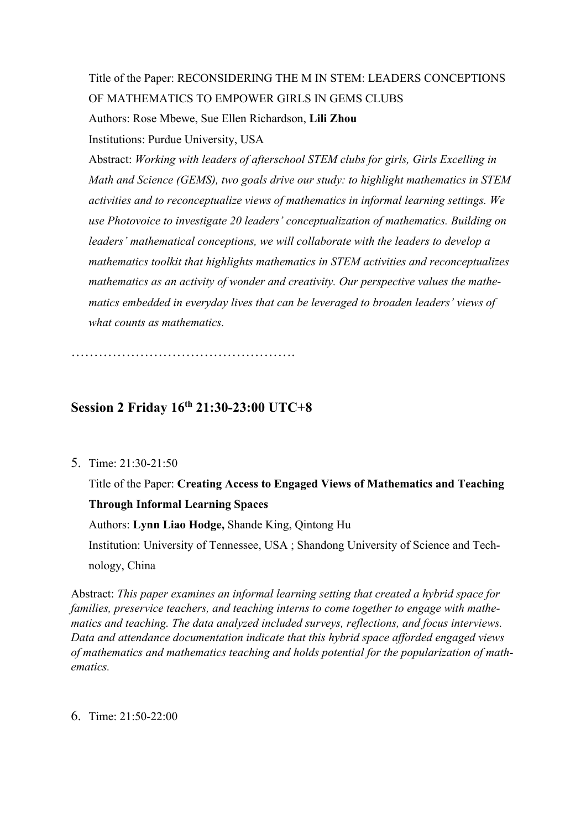Title of the Paper: RECONSIDERING THE M IN STEM: LEADERS CONCEPTIONS OF MATHEMATICS TO EMPOWER GIRLS IN GEMS CLUBS Authors: Rose Mbewe, Sue Ellen Richardson, **Lili Zhou**

Institutions: Purdue University, USA

Abstract: *Working with leaders of afterschool STEM clubs for girls, Girls Excelling in Math and Science (GEMS), two goals drive our study: to highlight mathematics in STEM activities and to reconceptualize views of mathematics in informal learning settings. We use Photovoice to investigate 20 leaders' conceptualization of mathematics. Building on leaders' mathematical conceptions, we will collaborate with the leaders to develop a mathematics toolkit that highlights mathematics in STEM activities and reconceptualizes mathematics as an activity of wonder and creativity. Our perspective values the mathematics embedded in everyday lives that can be leveraged to broaden leaders' views of what counts as mathematics.*

………………………………………….

## **Session 2 Friday 16th 21:30-23:00 UTC+8**

5. Time: 21:30-21:50

Title of the Paper: **Creating Access to Engaged Views of Mathematics and Teaching** 

**Through Informal Learning Spaces**

Authors: **Lynn Liao Hodge,** Shande King, Qintong Hu

Institution: University of Tennessee, USA ; Shandong University of Science and Technology, China

Abstract: *This paper examines an informal learning setting that created a hybrid space for families, preservice teachers, and teaching interns to come together to engage with mathematics and teaching. The data analyzed included surveys, reflections, and focus interviews. Data and attendance documentation indicate that this hybrid space afforded engaged views of mathematics and mathematics teaching and holds potential for the popularization of mathematics.*

6. Time: 21:50-22:00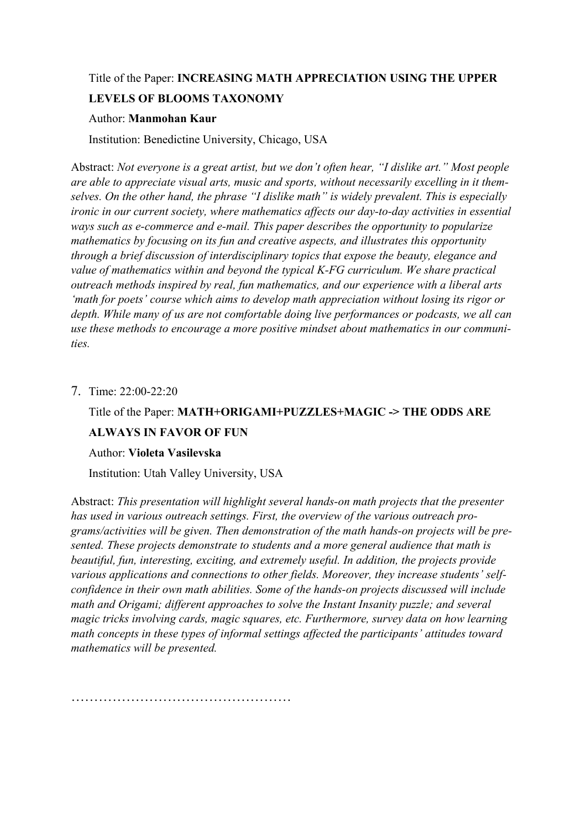Title of the Paper: **INCREASING MATH APPRECIATION USING THE UPPER** 

#### **LEVELS OF BLOOMS TAXONOMY**

### Author: **Manmohan Kaur**

Institution: Benedictine University, Chicago, USA

Abstract: *Not everyone is a great artist, but we don't often hear, "I dislike art." Most people are able to appreciate visual arts, music and sports, without necessarily excelling in it themselves. On the other hand, the phrase "I dislike math" is widely prevalent. This is especially ironic in our current society, where mathematics affects our day-to-day activities in essential ways such as e-commerce and e-mail. This paper describes the opportunity to popularize mathematics by focusing on its fun and creative aspects, and illustrates this opportunity through a brief discussion of interdisciplinary topics that expose the beauty, elegance and value of mathematics within and beyond the typical K-FG curriculum. We share practical outreach methods inspired by real, fun mathematics, and our experience with a liberal arts 'math for poets' course which aims to develop math appreciation without losing its rigor or depth. While many of us are not comfortable doing live performances or podcasts, we all can use these methods to encourage a more positive mindset about mathematics in our communities.*

7. Time: 22:00-22:20

### Title of the Paper: **MATH+ORIGAMI+PUZZLES+MAGIC -> THE ODDS ARE**

#### **ALWAYS IN FAVOR OF FUN**

#### Author: **Violeta Vasilevska**

Institution: Utah Valley University, USA

Abstract: *This presentation will highlight several hands-on math projects that the presenter has used in various outreach settings. First, the overview of the various outreach programs/activities will be given. Then demonstration of the math hands-on projects will be presented. These projects demonstrate to students and a more general audience that math is beautiful, fun, interesting, exciting, and extremely useful. In addition, the projects provide various applications and connections to other fields. Moreover, they increase students' selfconfidence in their own math abilities. Some of the hands-on projects discussed will include math and Origami; different approaches to solve the Instant Insanity puzzle; and several magic tricks involving cards, magic squares, etc. Furthermore, survey data on how learning math concepts in these types of informal settings affected the participants' attitudes toward mathematics will be presented.*

………………………………………………………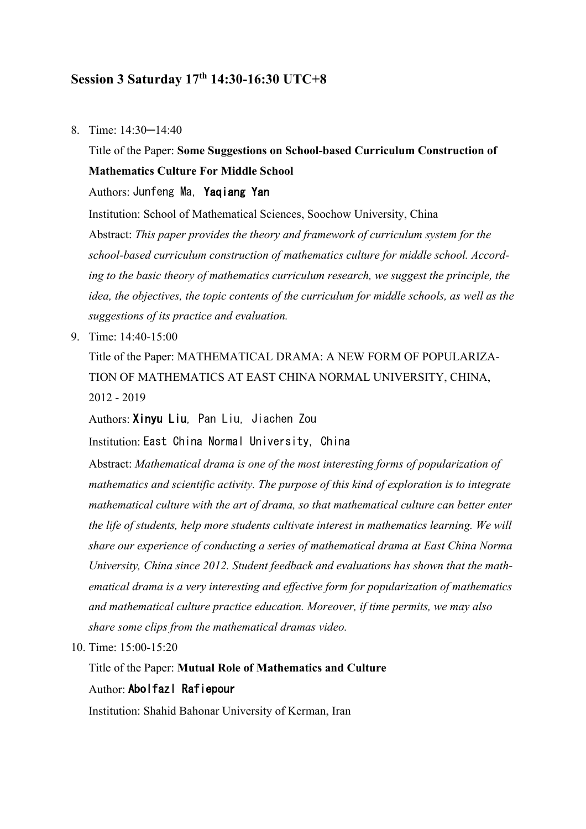### **Session 3 Saturday 17th 14:30-16:30 UTC+8**

8. Time: 14:30─14:40

Title of the Paper: **Some Suggestions on School-based Curriculum Construction of Mathematics Culture For Middle School**

Authors: Junfeng Ma, Yaqiang Yan

Institution: School of Mathematical Sciences, Soochow University, China

Abstract: *This paper provides the theory and framework of curriculum system for the school-based curriculum construction of mathematics culture for middle school. According to the basic theory of mathematics curriculum research, we suggest the principle, the idea, the objectives, the topic contents of the curriculum for middle schools, as well as the suggestions of its practice and evaluation.*

9. Time: 14:40-15:00

Title of the Paper: MATHEMATICAL DRAMA: A NEW FORM OF POPULARIZA-TION OF MATHEMATICS AT EAST CHINA NORMAL UNIVERSITY, CHINA, 2012 - 2019

Authors: Xinyu Liu, Pan Liu, Jiachen Zou

Institution: East China Normal University, China

Abstract: *Mathematical drama is one of the most interesting forms of popularization of mathematics and scientific activity. The purpose of this kind of exploration is to integrate mathematical culture with the art of drama, so that mathematical culture can better enter the life of students, help more students cultivate interest in mathematics learning. We will share our experience of conducting a series of mathematical drama at East China Norma University, China since 2012. Student feedback and evaluations has shown that the mathematical drama is a very interesting and effective form for popularization of mathematics and mathematical culture practice education. Moreover, if time permits, we may also share some clips from the mathematical dramas video.*

10. Time: 15:00-15:20

Title of the Paper: **Mutual Role of Mathematics and Culture** Author: Abolfazl Rafiepour

Institution: Shahid Bahonar University of Kerman, Iran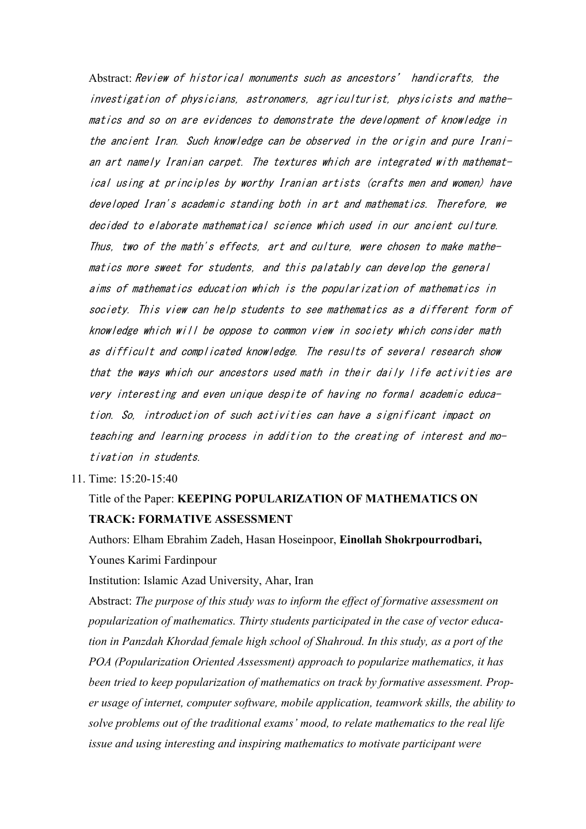Abstract: Review of historical monuments such as ancestors' handicrafts, the investigation of physicians, astronomers, agriculturist, physicists and mathematics and so on are evidences to demonstrate the development of knowledge in the ancient Iran. Such knowledge can be observed in the origin and pure Iranian art namely Iranian carpet. The textures which are integrated with mathematical using at principles by worthy Iranian artists (crafts men and women) have developed Iran's academic standing both in art and mathematics. Therefore, we decided to elaborate mathematical science which used in our ancient culture. Thus, two of the math's effects, art and culture, were chosen to make mathematics more sweet for students, and this palatably can develop the general aims of mathematics education which is the popularization of mathematics in society. This view can help students to see mathematics as a different form of knowledge which will be oppose to common view in society which consider math as difficult and complicated knowledge. The results of several research show that the ways which our ancestors used math in their daily life activities are very interesting and even unique despite of having no formal academic education. So, introduction of such activities can have a significant impact on teaching and learning process in addition to the creating of interest and motivation in students.

11. Time: 15:20-15:40

## Title of the Paper: **KEEPING POPULARIZATION OF MATHEMATICS ON TRACK: FORMATIVE ASSESSMENT**

Authors: Elham Ebrahim Zadeh, Hasan Hoseinpoor, **Einollah Shokrpourrodbari,**  Younes Karimi Fardinpour

Institution: Islamic Azad University, Ahar, Iran

Abstract: *The purpose of this study was to inform the effect of formative assessment on popularization of mathematics. Thirty students participated in the case of vector education in Panzdah Khordad female high school of Shahroud. In this study, as a port of the POA (Popularization Oriented Assessment) approach to popularize mathematics, it has been tried to keep popularization of mathematics on track by formative assessment. Proper usage of internet, computer software, mobile application, teamwork skills, the ability to solve problems out of the traditional exams' mood, to relate mathematics to the real life issue and using interesting and inspiring mathematics to motivate participant were*